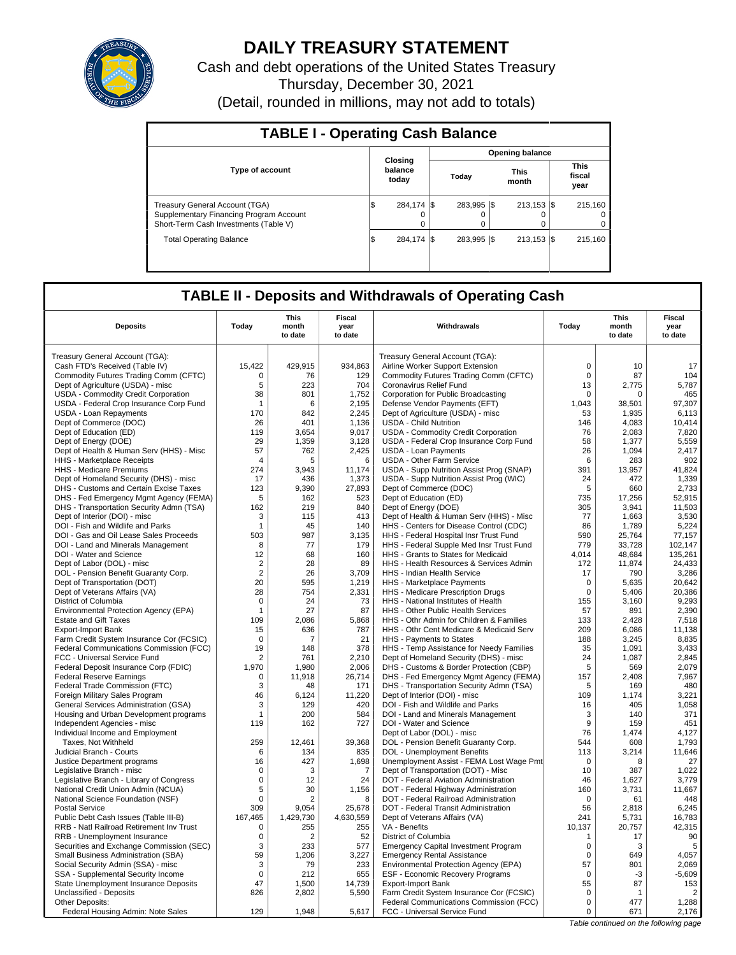

# **DAILY TREASURY STATEMENT**

Cash and debt operations of the United States Treasury Thursday, December 30, 2021 (Detail, rounded in millions, may not add to totals)

| <b>TABLE I - Operating Cash Balance</b>                                                                                   |     |                             |  |                 |                        |                           |  |                               |  |  |  |
|---------------------------------------------------------------------------------------------------------------------------|-----|-----------------------------|--|-----------------|------------------------|---------------------------|--|-------------------------------|--|--|--|
|                                                                                                                           |     |                             |  |                 | <b>Opening balance</b> |                           |  |                               |  |  |  |
| <b>Type of account</b>                                                                                                    |     | Closina<br>balance<br>today |  | Today           |                        | <b>This</b><br>month      |  | <b>This</b><br>fiscal<br>year |  |  |  |
| <b>Treasury General Account (TGA)</b><br>Supplementary Financing Program Account<br>Short-Term Cash Investments (Table V) | S   | 284,174 \$<br>$\Omega$      |  | 283.995 \$<br>0 |                        | $213.153$ $\sqrt{5}$<br>0 |  | 215.160<br>$^{\circ}$<br>0    |  |  |  |
| <b>Total Operating Balance</b>                                                                                            | 1\$ | 284,174 \$                  |  | 283.995 \\$     |                        | $213.153$ $\sqrt{5}$      |  | 215.160                       |  |  |  |

## **TABLE II - Deposits and Withdrawals of Operating Cash**

| <b>Deposits</b>                                                          | Todav                 | This<br>month<br>to date | Fiscal<br>year<br>to date | Withdrawals                                                                    | Todav            | This<br>month<br>to date | Fiscal<br>year<br>to date |
|--------------------------------------------------------------------------|-----------------------|--------------------------|---------------------------|--------------------------------------------------------------------------------|------------------|--------------------------|---------------------------|
|                                                                          |                       |                          |                           |                                                                                |                  |                          |                           |
| Treasury General Account (TGA):                                          |                       |                          |                           | Treasury General Account (TGA):                                                | $\Omega$         | 10                       | 17                        |
| Cash FTD's Received (Table IV)                                           | 15,422<br>$\mathbf 0$ | 429,915                  | 934,863                   | Airline Worker Support Extension                                               | $\mathbf 0$      | 87                       |                           |
| Commodity Futures Trading Comm (CFTC)                                    |                       | 76<br>223                | 129<br>704                | Commodity Futures Trading Comm (CFTC)                                          |                  |                          | 104                       |
| Dept of Agriculture (USDA) - misc<br>USDA - Commodity Credit Corporation | 5<br>38               | 801                      | 1,752                     | Coronavirus Relief Fund<br>Corporation for Public Broadcasting                 | 13<br>0          | 2,775<br>0               | 5,787<br>465              |
| USDA - Federal Crop Insurance Corp Fund                                  | $\overline{1}$        | 6                        | 2,195                     | Defense Vendor Payments (EFT)                                                  | 1.043            | 38,501                   | 97,307                    |
| <b>USDA - Loan Repayments</b>                                            | 170                   | 842                      | 2.245                     | Dept of Agriculture (USDA) - misc                                              | 53               | 1.935                    | 6,113                     |
|                                                                          |                       |                          |                           |                                                                                |                  |                          |                           |
| Dept of Commerce (DOC)<br>Dept of Education (ED)                         | 26                    | 401<br>3.654             | 1,136<br>9.017            | <b>USDA - Child Nutrition</b>                                                  | 146              | 4,083<br>2.083           | 10,414<br>7,820           |
|                                                                          | 119<br>29             | 1,359                    | 3,128                     | USDA - Commodity Credit Corporation<br>USDA - Federal Crop Insurance Corp Fund | 76<br>58         |                          | 5,559                     |
| Dept of Energy (DOE)                                                     | 57                    | 762                      | 2,425                     | <b>USDA - Loan Payments</b>                                                    | 26               | 1,377<br>1.094           | 2,417                     |
| Dept of Health & Human Serv (HHS) - Misc<br>HHS - Marketplace Receipts   | $\overline{4}$        | 5                        | 6                         | <b>USDA - Other Farm Service</b>                                               | 6                | 283                      | 902                       |
| HHS - Medicare Premiums                                                  | 274                   | 3,943                    | 11,174                    | USDA - Supp Nutrition Assist Prog (SNAP)                                       | 391              | 13,957                   | 41,824                    |
| Dept of Homeland Security (DHS) - misc                                   | 17                    | 436                      | 1.373                     | USDA - Supp Nutrition Assist Prog (WIC)                                        | 24               | 472                      | 1,339                     |
| DHS - Customs and Certain Excise Taxes                                   | 123                   | 9,390                    | 27,893                    | Dept of Commerce (DOC)                                                         | 5                | 660                      | 2,733                     |
| DHS - Fed Emergency Mgmt Agency (FEMA)                                   | 5                     | 162                      | 523                       | Dept of Education (ED)                                                         | 735              | 17,256                   | 52.915                    |
| DHS - Transportation Security Admn (TSA)                                 | 162                   | 219                      | 840                       | Dept of Energy (DOE)                                                           | 305              | 3,941                    | 11,503                    |
| Dept of Interior (DOI) - misc                                            | 3                     | 115                      | 413                       | Dept of Health & Human Serv (HHS) - Misc                                       | 77               | 1,663                    | 3,530                     |
| DOI - Fish and Wildlife and Parks                                        | $\mathbf{1}$          | 45                       | 140                       | HHS - Centers for Disease Control (CDC)                                        | 86               | 1,789                    | 5,224                     |
| DOI - Gas and Oil Lease Sales Proceeds                                   | 503                   | 987                      | 3,135                     | HHS - Federal Hospital Insr Trust Fund                                         | 590              | 25,764                   | 77,157                    |
| DOI - Land and Minerals Management                                       | 8                     | 77                       | 179                       | HHS - Federal Supple Med Insr Trust Fund                                       | 779              | 33,728                   | 102,147                   |
| DOI - Water and Science                                                  | 12                    | 68                       | 160                       | HHS - Grants to States for Medicaid                                            | 4,014            | 48,684                   | 135,261                   |
| Dept of Labor (DOL) - misc                                               | 2                     | 28                       | 89                        | HHS - Health Resources & Services Admin                                        | 172              | 11,874                   | 24,433                    |
| DOL - Pension Benefit Guaranty Corp.                                     | $\overline{2}$        | 26                       | 3,709                     | HHS - Indian Health Service                                                    | 17               | 790                      | 3,286                     |
| Dept of Transportation (DOT)                                             | 20                    | 595                      | 1,219                     | HHS - Marketplace Payments                                                     | $\mathbf 0$      | 5,635                    | 20,642                    |
| Dept of Veterans Affairs (VA)                                            | 28                    | 754                      | 2,331                     | HHS - Medicare Prescription Drugs                                              | 0                | 5,406                    | 20,386                    |
| District of Columbia                                                     | $\mathbf 0$           | 24                       | 73                        | HHS - National Institutes of Health                                            | 155              | 3.160                    | 9,293                     |
| Environmental Protection Agency (EPA)                                    | $\mathbf{1}$          | 27                       | 87                        | HHS - Other Public Health Services                                             | 57               | 891                      | 2,390                     |
| <b>Estate and Gift Taxes</b>                                             | 109                   | 2,086                    | 5,868                     | HHS - Othr Admin for Children & Families                                       | 133              | 2,428                    | 7,518                     |
| <b>Export-Import Bank</b>                                                | 15                    | 636                      | 787                       | HHS - Othr Cent Medicare & Medicaid Serv                                       | 209              | 6,086                    | 11,138                    |
| Farm Credit System Insurance Cor (FCSIC)                                 | $\Omega$              | 7                        | 21                        | HHS - Payments to States                                                       | 188              | 3,245                    | 8,835                     |
| Federal Communications Commission (FCC)                                  | 19                    | 148                      | 378                       | HHS - Temp Assistance for Needy Families                                       | 35               | 1,091                    | 3,433                     |
| FCC - Universal Service Fund                                             | $\overline{2}$        | 761                      | 2,210                     | Dept of Homeland Security (DHS) - misc                                         | 24               | 1,087                    | 2,845                     |
| Federal Deposit Insurance Corp (FDIC)                                    | 1,970                 | 1.980                    | 2,006                     | DHS - Customs & Border Protection (CBP)                                        | 5                | 569                      | 2,079                     |
| <b>Federal Reserve Earnings</b>                                          | 0                     | 11,918                   | 26,714                    | DHS - Fed Emergency Mgmt Agency (FEMA)                                         | 157              | 2,408                    | 7,967                     |
| Federal Trade Commission (FTC)                                           | 3                     | 48                       | 171                       | DHS - Transportation Security Admn (TSA)                                       | 5                | 169                      | 480                       |
| Foreign Military Sales Program                                           | 46                    | 6,124                    | 11,220                    | Dept of Interior (DOI) - misc                                                  | 109              | 1,174                    | 3,221                     |
| General Services Administration (GSA)                                    | 3                     | 129                      | 420                       | DOI - Fish and Wildlife and Parks                                              | 16               | 405                      | 1,058                     |
| Housing and Urban Development programs                                   | $\mathbf{1}$          | 200                      | 584                       | DOI - Land and Minerals Management                                             | 3                | 140                      | 371                       |
| Independent Agencies - misc                                              | 119                   | 162                      | 727                       | DOI - Water and Science                                                        | 9                | 159                      | 451                       |
| Individual Income and Employment                                         |                       |                          |                           | Dept of Labor (DOL) - misc                                                     | 76               | 1.474                    | 4.127                     |
| Taxes, Not Withheld                                                      | 259                   | 12.461                   | 39.368                    | DOL - Pension Benefit Guaranty Corp.                                           | 544              | 608                      | 1,793                     |
| Judicial Branch - Courts                                                 | 6                     | 134                      | 835                       | DOL - Unemployment Benefits                                                    | 113              | 3,214                    | 11,646                    |
| Justice Department programs                                              | 16                    | 427                      | 1,698                     | Unemployment Assist - FEMA Lost Wage Pmt                                       | $\mathbf 0$      | 8                        | 27                        |
| Legislative Branch - misc                                                | $\Omega$              | 3                        | $\overline{7}$            | Dept of Transportation (DOT) - Misc                                            | 10               | 387                      | 1,022                     |
| Legislative Branch - Library of Congress                                 | $\mathsf 0$           | 12                       | 24                        | DOT - Federal Aviation Administration                                          | 46               | 1,627                    | 3,779                     |
| National Credit Union Admin (NCUA)                                       | 5                     | 30                       | 1,156                     | DOT - Federal Highway Administration                                           | 160              | 3,731                    | 11,667                    |
| National Science Foundation (NSF)                                        | $\mathbf 0$           | $\overline{2}$           | 8                         | DOT - Federal Railroad Administration                                          | $\mathbf 0$      | 61                       | 448                       |
| <b>Postal Service</b>                                                    | 309                   | 9.054                    | 25,678                    | DOT - Federal Transit Administration                                           | 56               | 2.818                    | 6.245                     |
| Public Debt Cash Issues (Table III-B)                                    | 167,465               | 1,429,730                | 4,630,559                 | Dept of Veterans Affairs (VA)                                                  | 241              | 5,731                    | 16,783                    |
| RRB - Natl Railroad Retirement Inv Trust                                 | 0                     | 255                      | 255                       | VA - Benefits                                                                  | 10.137           | 20,757                   | 42,315                    |
| RRB - Unemployment Insurance                                             | $\mathbf 0$           | $\overline{2}$           | 52                        | District of Columbia                                                           | $\mathbf{1}$     | 17                       | 90                        |
| Securities and Exchange Commission (SEC)                                 | 3                     | 233                      | 577                       | <b>Emergency Capital Investment Program</b>                                    | 0                | 3                        | 5                         |
| Small Business Administration (SBA)                                      | 59                    | 1,206                    | 3,227                     | <b>Emergency Rental Assistance</b>                                             | $\mathbf 0$      | 649                      | 4,057                     |
| Social Security Admin (SSA) - misc                                       | 3                     | 79                       | 233                       | Environmental Protection Agency (EPA)                                          | 57               | 801                      | 2,069                     |
| SSA - Supplemental Security Income                                       | $\mathbf 0$           | 212                      | 655                       | <b>ESF - Economic Recovery Programs</b>                                        | $\mathbf 0$      | $-3$                     | $-5,609$                  |
| State Unemployment Insurance Deposits                                    | 47                    | 1,500                    | 14,739                    | <b>Export-Import Bank</b>                                                      | 55               | 87                       | 153                       |
| Unclassified - Deposits                                                  | 826                   | 2,802                    | 5,590                     | Farm Credit System Insurance Cor (FCSIC)                                       | $\mathbf 0$      | 1                        | $\overline{2}$            |
| Other Deposits:                                                          | 129                   | 1.948                    |                           | Federal Communications Commission (FCC)<br>FCC - Universal Service Fund        | $\mathbf 0$<br>0 | 477<br>671               | 1,288                     |
| Federal Housing Admin: Note Sales                                        |                       |                          | 5,617                     |                                                                                |                  |                          | 2,176                     |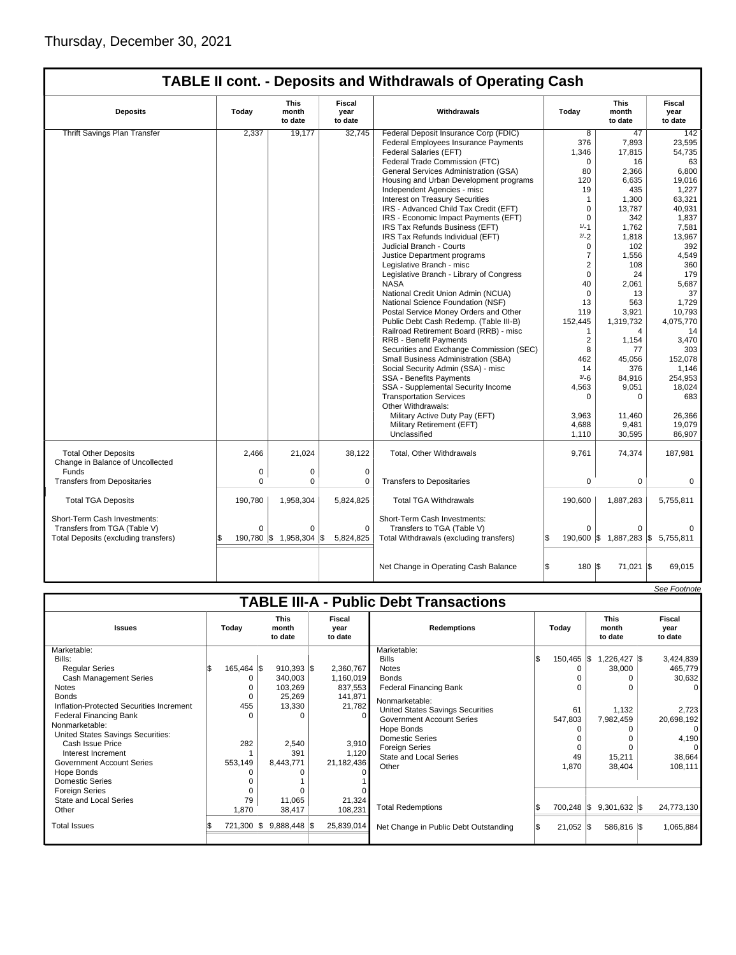| <b>TABLE II cont. - Deposits and Withdrawals of Operating Cash</b> |
|--------------------------------------------------------------------|
|--------------------------------------------------------------------|

| <b>Deposits</b>                                                 | Today    | <b>This</b><br>month<br>to date | Fiscal<br>year<br>to date | Withdrawals                              | Today          | <b>This</b><br>month<br>to date   | Fiscal<br>year<br>to date |
|-----------------------------------------------------------------|----------|---------------------------------|---------------------------|------------------------------------------|----------------|-----------------------------------|---------------------------|
| <b>Thrift Savings Plan Transfer</b>                             | 2,337    | 19,177                          | 32.745                    | Federal Deposit Insurance Corp (FDIC)    | 8              | 47                                | 142                       |
|                                                                 |          |                                 |                           | Federal Employees Insurance Payments     | 376            | 7,893                             | 23,595                    |
|                                                                 |          |                                 |                           | Federal Salaries (EFT)                   | 1,346          | 17,815                            | 54,735                    |
|                                                                 |          |                                 |                           | Federal Trade Commission (FTC)           | $\mathbf 0$    | 16                                | 63                        |
|                                                                 |          |                                 |                           | General Services Administration (GSA)    | 80             | 2,366                             | 6,800                     |
|                                                                 |          |                                 |                           | Housing and Urban Development programs   | 120            | 6,635                             | 19,016                    |
|                                                                 |          |                                 |                           | Independent Agencies - misc              | 19             | 435                               | 1,227                     |
|                                                                 |          |                                 |                           | <b>Interest on Treasury Securities</b>   | $\mathbf{1}$   | 1,300                             | 63,321                    |
|                                                                 |          |                                 |                           | IRS - Advanced Child Tax Credit (EFT)    | 0              | 13,787                            | 40,931                    |
|                                                                 |          |                                 |                           | IRS - Economic Impact Payments (EFT)     | $\mathbf 0$    | 342                               | 1,837                     |
|                                                                 |          |                                 |                           | IRS Tax Refunds Business (EFT)           | $1/-1$         | 1,762                             | 7,581                     |
|                                                                 |          |                                 |                           |                                          | $2/-2$         |                                   |                           |
|                                                                 |          |                                 |                           | IRS Tax Refunds Individual (EFT)         |                | 1,818                             | 13,967                    |
|                                                                 |          |                                 |                           | Judicial Branch - Courts                 | 0              | 102                               | 392                       |
|                                                                 |          |                                 |                           | Justice Department programs              | $\overline{7}$ | 1,556                             | 4,549                     |
|                                                                 |          |                                 |                           | Legislative Branch - misc                | $\overline{2}$ | 108                               | 360                       |
|                                                                 |          |                                 |                           | Legislative Branch - Library of Congress | 0              | 24                                | 179                       |
|                                                                 |          |                                 |                           | <b>NASA</b>                              | 40             | 2,061                             | 5,687                     |
|                                                                 |          |                                 |                           | National Credit Union Admin (NCUA)       | $\mathbf 0$    | 13                                | 37                        |
|                                                                 |          |                                 |                           | National Science Foundation (NSF)        | 13             | 563                               | 1,729                     |
|                                                                 |          |                                 |                           | Postal Service Money Orders and Other    | 119            | 3,921                             | 10.793                    |
|                                                                 |          |                                 |                           | Public Debt Cash Redemp. (Table III-B)   | 152,445        | 1,319,732                         | 4,075,770                 |
|                                                                 |          |                                 |                           | Railroad Retirement Board (RRB) - misc   | $\mathbf{1}$   | 4                                 | 14                        |
|                                                                 |          |                                 |                           | <b>RRB - Benefit Payments</b>            | $\overline{2}$ | 1,154                             | 3,470                     |
|                                                                 |          |                                 |                           | Securities and Exchange Commission (SEC) | 8              | 77                                | 303                       |
|                                                                 |          |                                 |                           | Small Business Administration (SBA)      | 462            | 45,056                            | 152,078                   |
|                                                                 |          |                                 |                           | Social Security Admin (SSA) - misc       | 14             | 376                               | 1,146                     |
|                                                                 |          |                                 |                           | <b>SSA - Benefits Payments</b>           | $3/-6$         | 84,916                            | 254,953                   |
|                                                                 |          |                                 |                           | SSA - Supplemental Security Income       | 4,563          | 9,051                             | 18,024                    |
|                                                                 |          |                                 |                           | <b>Transportation Services</b>           | 0              | 0                                 | 683                       |
|                                                                 |          |                                 |                           | Other Withdrawals:                       |                |                                   |                           |
|                                                                 |          |                                 |                           | Military Active Duty Pay (EFT)           | 3,963          | 11.460                            | 26,366                    |
|                                                                 |          |                                 |                           | Military Retirement (EFT)                | 4,688          | 9,481                             | 19,079                    |
|                                                                 |          |                                 |                           | Unclassified                             | 1,110          | 30,595                            | 86,907                    |
|                                                                 |          |                                 |                           |                                          |                |                                   |                           |
| <b>Total Other Deposits</b><br>Change in Balance of Uncollected | 2.466    | 21.024                          | 38.122                    | Total, Other Withdrawals                 | 9.761          | 74,374                            | 187,981                   |
| Funds                                                           | 0        | 0                               | $\mathbf 0$               |                                          |                |                                   |                           |
| <b>Transfers from Depositaries</b>                              | $\Omega$ | 0                               | 0                         | <b>Transfers to Depositaries</b>         | 0              | $\mathbf 0$                       | $\mathbf 0$               |
|                                                                 |          |                                 |                           |                                          |                |                                   |                           |
| <b>Total TGA Deposits</b>                                       | 190,780  | 1,958,304                       | 5,824,825                 | <b>Total TGA Withdrawals</b>             | 190,600        | 1,887,283                         | 5,755,811                 |
| Short-Term Cash Investments:                                    |          |                                 |                           | Short-Term Cash Investments:             |                |                                   |                           |
| Transfers from TGA (Table V)                                    | $\Omega$ | $\Omega$                        | $\Omega$                  | Transfers to TGA (Table V)               | $\Omega$       | $\Omega$                          |                           |
| Total Deposits (excluding transfers)                            | ß.       | 190.780 \$ 1.958.304            | l\$<br>5.824.825          | Total Withdrawals (excluding transfers)  | l\$            | 190,600 \$ 1,887,283 \$ 5,755,811 |                           |
|                                                                 |          |                                 |                           |                                          |                |                                   |                           |
|                                                                 |          |                                 |                           | Net Change in Operating Cash Balance     | 180 S          | 71,021 \$                         | 69,015                    |
|                                                                 |          |                                 |                           |                                          |                |                                   |                           |

|                                                                                                                                                                                                            |       |                           |                                                        |                                                                    | <b>TABLE III-A - Public Debt Transactions</b>                                                                                                      |  |                                    |  |                                 |                                                                  |                  |                           |
|------------------------------------------------------------------------------------------------------------------------------------------------------------------------------------------------------------|-------|---------------------------|--------------------------------------------------------|--------------------------------------------------------------------|----------------------------------------------------------------------------------------------------------------------------------------------------|--|------------------------------------|--|---------------------------------|------------------------------------------------------------------|------------------|---------------------------|
| <b>Issues</b>                                                                                                                                                                                              | Today |                           | <b>This</b><br>month<br>to date                        | <b>Fiscal</b><br>vear<br>to date                                   | <b>Redemptions</b>                                                                                                                                 |  | Today                              |  | <b>This</b>                     |                                                                  | month<br>to date | Fiscal<br>year<br>to date |
| Marketable:<br>Bills:<br><b>Regular Series</b><br>Cash Management Series<br><b>Notes</b><br><b>Bonds</b><br>Inflation-Protected Securities Increment                                                       |       | 165,464 \$<br>455         | $910,393$ \$<br>340,003<br>103,269<br>25,269<br>13,330 | 2,360,767<br>1,160,019<br>837,553<br>141,871<br>21,782<br>$\Omega$ | Marketable:<br><b>Bills</b><br><b>Notes</b><br><b>Bonds</b><br><b>Federal Financing Bank</b><br>Nonmarketable:<br>United States Savings Securities |  | $150,465$ \\$<br>0<br>O<br>O<br>61 |  | 1,226,427 \$<br>38,000<br>1,132 | 3,424,839<br>465,779<br>30,632<br>$\Omega$<br>2,723              |                  |                           |
| <b>Federal Financing Bank</b><br>Nonmarketable:<br>United States Savings Securities:<br>Cash Issue Price<br>Interest Increment<br><b>Government Account Series</b><br>Hope Bonds<br><b>Domestic Series</b> |       | 282<br>553,149            | 2,540<br>391<br>8,443,771                              | 3,910<br>1,120<br>21,182,436                                       | <b>Government Account Series</b><br>Hope Bonds<br><b>Domestic Series</b><br><b>Foreign Series</b><br><b>State and Local Series</b><br>Other        |  | 547,803<br>O<br>0<br>49<br>1,870   |  | 7,982,459<br>15,211<br>38,404   | 20,698,192<br>$\Omega$<br>4,190<br>$\Omega$<br>38,664<br>108,111 |                  |                           |
| <b>Foreign Series</b><br>State and Local Series<br>Other<br><b>Total Issues</b>                                                                                                                            |       | 79<br>1,870<br>721,300 \$ | 11,065<br>38,417<br>$9,888,448$ \$                     | 21,324<br>108,231<br>25,839,014                                    | <b>Total Redemptions</b><br>Net Change in Public Debt Outstanding                                                                                  |  | 700,248 \$<br>$21,052$ $\sqrt{5}$  |  | $9,301,632$ \$<br>586,816 \$    | 24,773,130<br>1,065,884                                          |                  |                           |

See Footnote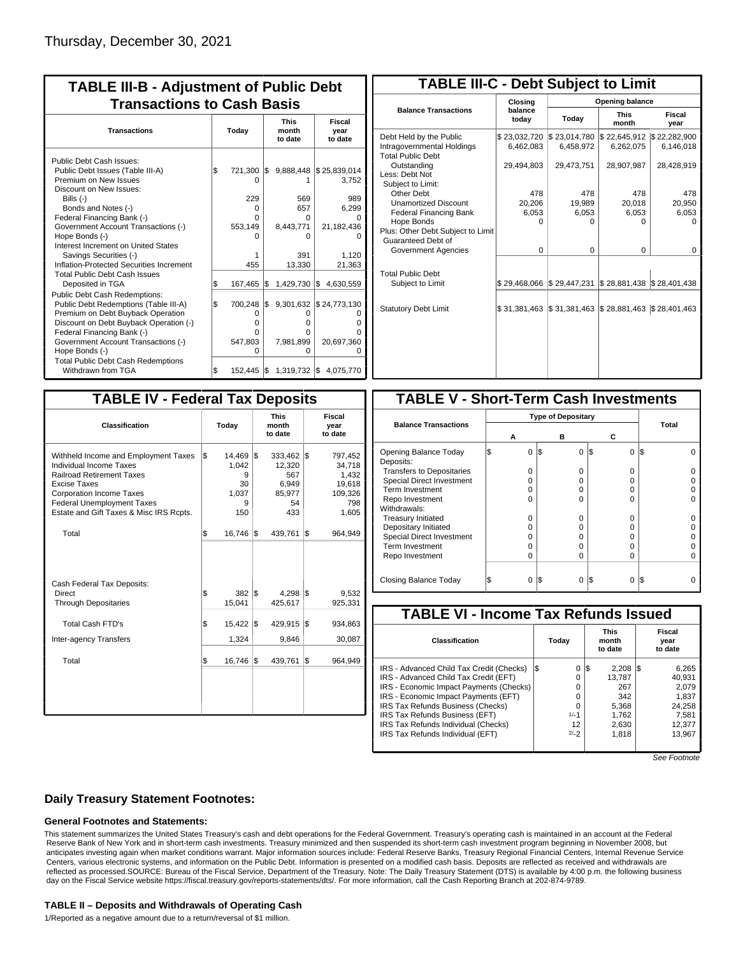| <b>TABLE III-B - Adjustment of Public Debt</b><br><b>Transactions to Cash Basis</b>                                                                                                                                                                                                |       |                                                    |     |                                   |                                                               |                                 |                           |  |  |  |  |
|------------------------------------------------------------------------------------------------------------------------------------------------------------------------------------------------------------------------------------------------------------------------------------|-------|----------------------------------------------------|-----|-----------------------------------|---------------------------------------------------------------|---------------------------------|---------------------------|--|--|--|--|
| <b>Transactions</b>                                                                                                                                                                                                                                                                | Today |                                                    |     |                                   |                                                               | <b>This</b><br>month<br>to date | Fiscal<br>year<br>to date |  |  |  |  |
| Public Debt Cash Issues:<br>Public Debt Issues (Table III-A)<br>Premium on New Issues<br>Discount on New Issues:<br>Bills (-)<br>Bonds and Notes (-)<br>Federal Financing Bank (-)<br>Government Account Transactions (-)<br>Hope Bonds (-)<br>Interest Increment on United States | l\$   | 721,300 \$<br>$\Omega$<br>229<br>0<br>O<br>553,149 |     | 569<br>657<br>0<br>8,443,771<br>n | 9,888,448 \$25,839,014<br>3,752<br>989<br>6,299<br>21,182,436 |                                 |                           |  |  |  |  |
| Savings Securities (-)<br>Inflation-Protected Securities Increment<br><b>Total Public Debt Cash Issues</b>                                                                                                                                                                         |       | 455                                                |     | 391<br>13,330                     | 1,120<br>21,363                                               |                                 |                           |  |  |  |  |
| Deposited in TGA                                                                                                                                                                                                                                                                   | \$    | 167,465                                            | l\$ | 1,429,730 \$                      | 4,630,559                                                     |                                 |                           |  |  |  |  |
| <b>Public Debt Cash Redemptions:</b><br>Public Debt Redemptions (Table III-A)<br>Premium on Debt Buyback Operation<br>Discount on Debt Buyback Operation (-)<br>Federal Financing Bank (-)<br>Government Account Transactions (-)<br>Hope Bonds (-)                                | \$    | 700.248<br>Ο<br>o<br>0<br>547,803<br>O             | I\$ | O<br>o<br>o<br>7,981,899<br>O     | 9,301,632 \$24,773,130<br>20,697,360                          |                                 |                           |  |  |  |  |
| <b>Total Public Debt Cash Redemptions</b><br>Withdrawn from TGA                                                                                                                                                                                                                    | l\$   | $152,445$ \$                                       |     | 1,319,732 \$                      | 4,075,770                                                     |                                 |                           |  |  |  |  |

| <b>TABLE III-C - Debt Subject to Limit</b>                                        |                           |                           |                                                   |                           |  |  |  |  |  |  |  |  |
|-----------------------------------------------------------------------------------|---------------------------|---------------------------|---------------------------------------------------|---------------------------|--|--|--|--|--|--|--|--|
|                                                                                   | Closing                   | Opening balance           |                                                   |                           |  |  |  |  |  |  |  |  |
| <b>Balance Transactions</b>                                                       | balance<br>today          | Today                     | <b>This</b><br>month                              | Fiscal<br>year            |  |  |  |  |  |  |  |  |
| Debt Held by the Public<br>Intragovernmental Holdings<br><b>Total Public Debt</b> | \$23,032,720<br>6,462,083 | \$23,014,780<br>6.458.972 | \$22,645,912<br>6,262,075                         | \$22,282,900<br>6.146.018 |  |  |  |  |  |  |  |  |
| Outstanding<br>Less: Debt Not<br>Subject to Limit:                                | 29,494,803                | 29,473,751                | 28,907,987                                        | 28,428,919                |  |  |  |  |  |  |  |  |
| Other Debt                                                                        | 478                       | 478                       | 478                                               | 478                       |  |  |  |  |  |  |  |  |
| <b>Unamortized Discount</b>                                                       | 20,206                    | 19,989                    | 20,018                                            | 20,950                    |  |  |  |  |  |  |  |  |
| <b>Federal Financing Bank</b>                                                     | 6,053                     | 6,053                     | 6,053                                             | 6,053                     |  |  |  |  |  |  |  |  |
| Hope Bonds                                                                        | O                         | O                         | n                                                 | O                         |  |  |  |  |  |  |  |  |
| Plus: Other Debt Subject to Limit<br>Guaranteed Debt of                           |                           |                           |                                                   |                           |  |  |  |  |  |  |  |  |
| Government Agencies                                                               | $\Omega$                  | 0                         | 0                                                 | 0                         |  |  |  |  |  |  |  |  |
| <b>Total Public Debt</b><br>Subject to Limit                                      | \$29.468.066              | \$29,447,231              | $\frac{1}{2}$ 28,881,438 $\frac{1}{2}$ 28,401,438 |                           |  |  |  |  |  |  |  |  |
|                                                                                   |                           |                           |                                                   |                           |  |  |  |  |  |  |  |  |
| <b>Statutory Debt Limit</b>                                                       | \$31,381,463              | \$31,381,463              | \$28,881,463                                      | \$28,401,463              |  |  |  |  |  |  |  |  |
|                                                                                   |                           |                           |                                                   |                           |  |  |  |  |  |  |  |  |

| <b>TABLE IV - Federal Tax Deposits</b>                                                                                                                                                                                                        |          |                                                 |     |                                                          |     |                                                                 |
|-----------------------------------------------------------------------------------------------------------------------------------------------------------------------------------------------------------------------------------------------|----------|-------------------------------------------------|-----|----------------------------------------------------------|-----|-----------------------------------------------------------------|
| Classification                                                                                                                                                                                                                                |          | Today                                           |     | <b>This</b><br>month<br>to date                          |     | Fiscal<br>year<br>to date                                       |
| Withheld Income and Employment Taxes<br>Individual Income Taxes<br><b>Railroad Retirement Taxes</b><br><b>Excise Taxes</b><br><b>Corporation Income Taxes</b><br><b>Federal Unemployment Taxes</b><br>Estate and Gift Taxes & Misc IRS Rcpts. | l\$      | 14,469<br>1,042<br>9<br>30<br>1,037<br>9<br>150 | l\$ | 333,462<br>12,320<br>567<br>6,949<br>85,977<br>54<br>433 | I\$ | 797,452<br>34,718<br>1,432<br>19,618<br>109,326<br>798<br>1,605 |
| Total                                                                                                                                                                                                                                         | \$       | 16,746                                          | 1\$ | 439,761                                                  | l\$ | 964,949                                                         |
| Cash Federal Tax Deposits:<br><b>Direct</b><br><b>Through Depositaries</b>                                                                                                                                                                    | \$       | 382<br>15,041                                   | I\$ | $4,298$ \\$<br>425,617                                   |     | 9,532<br>925,331                                                |
| <b>Total Cash FTD's</b>                                                                                                                                                                                                                       | <b>S</b> | 15,422   \$                                     |     | 429,915                                                  | l\$ | 934,863                                                         |
| <b>Inter-agency Transfers</b><br>Total                                                                                                                                                                                                        | \$       | 1,324<br>16,746                                 | 1\$ | 9,846<br>439,761                                         | l\$ | 30,087<br>964.949                                               |
|                                                                                                                                                                                                                                               |          |                                                 |     |                                                          |     |                                                                 |

|                                    |   | <b>TABLE V - Short-Term Cash Investments</b> |     |          |               |     |  |  |  |  |  |  |  |
|------------------------------------|---|----------------------------------------------|-----|----------|---------------|-----|--|--|--|--|--|--|--|
|                                    |   |                                              |     |          |               |     |  |  |  |  |  |  |  |
| <b>Balance Transactions</b>        | А | в                                            |     | С        | Total         |     |  |  |  |  |  |  |  |
| Opening Balance Today<br>Deposits: |   | 0                                            | 1\$ | 0        | 1\$<br>0      | I\$ |  |  |  |  |  |  |  |
| <b>Transfers to Depositaries</b>   |   | O                                            |     | O        | 0             |     |  |  |  |  |  |  |  |
| Special Direct Investment          |   | O                                            |     | n        | 0             |     |  |  |  |  |  |  |  |
| Term Investment                    |   | Ω                                            |     | Ω        | 0             |     |  |  |  |  |  |  |  |
| Repo Investment                    |   | O                                            |     | O        | 0             |     |  |  |  |  |  |  |  |
| Withdrawals:                       |   |                                              |     |          |               |     |  |  |  |  |  |  |  |
| <b>Treasury Initiated</b>          |   | O                                            |     | O        | 0             |     |  |  |  |  |  |  |  |
| Depositary Initiated               |   | Ω                                            |     | Ω        | 0             |     |  |  |  |  |  |  |  |
| <b>Special Direct Investment</b>   |   | Ω                                            |     | Ω        | 0             |     |  |  |  |  |  |  |  |
| <b>Term Investment</b>             |   | Ω                                            |     | Ω        | 0             |     |  |  |  |  |  |  |  |
| Repo Investment                    |   | O                                            |     | Ω        | 0             |     |  |  |  |  |  |  |  |
|                                    |   |                                              |     |          |               |     |  |  |  |  |  |  |  |
| Closing Balance Today              |   | $\Omega$                                     | I\$ | $\Omega$ | S<br>$\Omega$ | I\$ |  |  |  |  |  |  |  |

| <b>TABLE VI - Income Tax Refunds Issued</b> |        |                 |                                 |  |                           |  |  |  |  |  |  |
|---------------------------------------------|--------|-----------------|---------------------------------|--|---------------------------|--|--|--|--|--|--|
|                                             |        |                 | <b>This</b><br>month<br>to date |  | Fiscal<br>year<br>to date |  |  |  |  |  |  |
| l\$                                         | 0      |                 | 2.208                           |  | 6,265                     |  |  |  |  |  |  |
|                                             | 0      |                 | 13.787                          |  | 40.931                    |  |  |  |  |  |  |
|                                             | 0      |                 | 267                             |  | 2.079                     |  |  |  |  |  |  |
|                                             | 0      |                 | 342                             |  | 1.837                     |  |  |  |  |  |  |
|                                             | 0      |                 | 5,368                           |  | 24,258                    |  |  |  |  |  |  |
|                                             | $1/-1$ |                 | 1,762                           |  | 7,581                     |  |  |  |  |  |  |
|                                             | 12     |                 | 2,630                           |  | 12,377                    |  |  |  |  |  |  |
|                                             |        |                 | 1.818                           |  | 13.967                    |  |  |  |  |  |  |
|                                             |        | Today<br>$2/-2$ | 1\$                             |  | I\$                       |  |  |  |  |  |  |

See Footnote

### **Daily Treasury Statement Footnotes:**

#### **General Footnotes and Statements:**

This statement summarizes the United States Treasury's cash and debt operations for the Federal Government. Treasury's operating cash is maintained in an account at the Federal Reserve Bank of New York and in short-term cash investments. Treasury minimized and then suspended its short-term cash investment program beginning in November 2008, but anticipates investing again when market conditions warrant. Major information sources include: Federal Reserve Banks, Treasury Regional Financial Centers, Internal Revenue Service Centers, various electronic systems, and information on the Public Debt. Information is presented on a modified cash basis. Deposits are reflected as received and withdrawals are reflected as processed.SOURCE: Bureau of the Fiscal Service, Department of the Treasury. Note: The Daily Treasury Statement (DTS) is available by 4:00 p.m. the following business day on the Fiscal Service website https://fiscal.treasury.gov/reports-statements/dts/. For more information, call the Cash Reporting Branch at 202-874-9789.

#### **TABLE II – Deposits and Withdrawals of Operating Cash**

1/Reported as a negative amount due to a return/reversal of \$1 million.